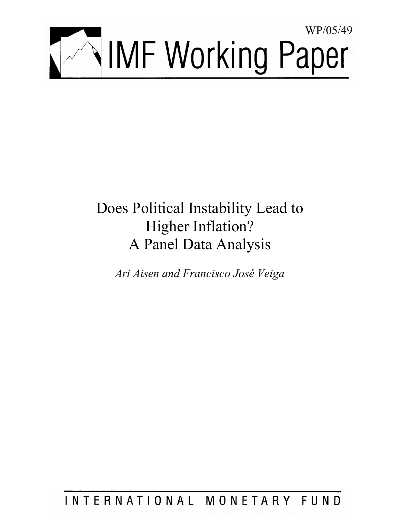

# Does Political Instability Lead to Higher Inflation? A Panel Data Analysis

*Ari Aisen and Francisco José Veiga* 

INTERNATIONAL MONETARY FUND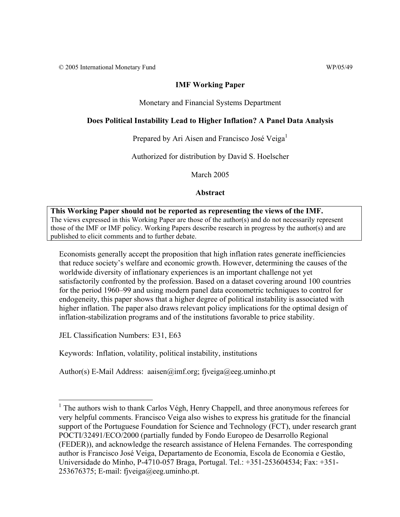© 2005 International Monetary Fund WP/05/49

## **IMF Working Paper**

Monetary and Financial Systems Department

# **Does Political Instability Lead to Higher Inflation? A Panel Data Analysis**

Prepared by Ari Aisen and Francisco José Veiga<sup>1</sup>

Authorized for distribution by David S. Hoelscher

March 2005

**Abstract**

### **This Working Paper should not be reported as representing the views of the IMF.** The views expressed in this Working Paper are those of the author(s) and do not necessarily represent those of the IMF or IMF policy. Working Papers describe research in progress by the author(s) and are published to elicit comments and to further debate.

Economists generally accept the proposition that high inflation rates generate inefficiencies that reduce society's welfare and economic growth. However, determining the causes of the worldwide diversity of inflationary experiences is an important challenge not yet satisfactorily confronted by the profession. Based on a dataset covering around 100 countries for the period 1960–99 and using modern panel data econometric techniques to control for endogeneity, this paper shows that a higher degree of political instability is associated with higher inflation. The paper also draws relevant policy implications for the optimal design of inflation-stabilization programs and of the institutions favorable to price stability.

JEL Classification Numbers: E31, E63

 $\overline{a}$ 

Keywords: Inflation, volatility, political instability, institutions

Author(s) E-Mail Address: aaisen $\omega$  imf.org; fiveiga $\omega$ eeg.uminho.pt

<sup>&</sup>lt;sup>1</sup> The authors wish to thank Carlos Végh, Henry Chappell, and three anonymous referees for very helpful comments. Francisco Veiga also wishes to express his gratitude for the financial support of the Portuguese Foundation for Science and Technology (FCT), under research grant POCTI/32491/ECO/2000 (partially funded by Fondo Europeo de Desarrollo Regional (FEDER)), and acknowledge the research assistance of Helena Fernandes. The corresponding author is Francisco José Veiga, Departamento de Economia, Escola de Economia e Gestão, Universidade do Minho, P-4710-057 Braga, Portugal. Tel.: +351-253604534; Fax: +351-  $253676375$ ; E-mail: fjveiga@eeg.uminho.pt.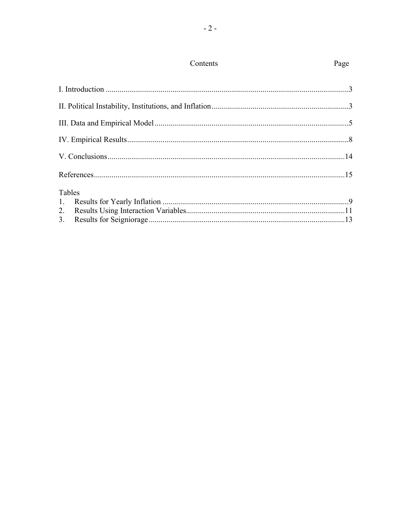| Tables         |  |
|----------------|--|
| $\mathbf{L}$   |  |
| 2.             |  |
| 3 <sub>1</sub> |  |

# Contents

## Page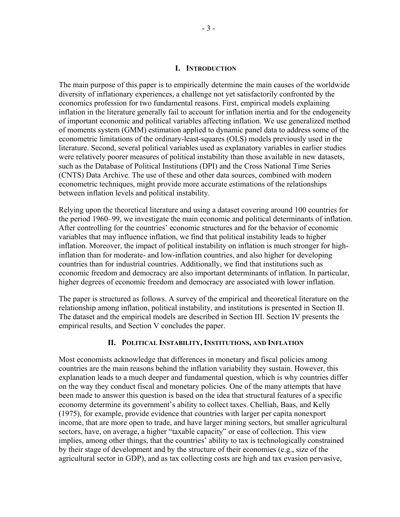#### **I. INTRODUCTION**

The main purpose of this paper is to empirically determine the main causes of the worldwide diversity of inflationary experiences, a challenge not yet satisfactorily confronted by the economics profession for two fundamental reasons. First, empirical models explaining inflation in the literature generally fail to account for inflation inertia and for the endogeneity of important economic and political variables affecting inflation. We use generalized method of moments system (GMM) estimation applied to dynamic panel data to address some of the econometric limitations of the ordinary-least-squares (OLS) models previously used in the literature. Second, several political variables used as explanatory variables in earlier studies were relatively poorer measures of political instability than those available in new datasets, such as the Database of Political Institutions (DPI) and the Cross National Time Series (CNTS) Data Archive. The use of these and other data sources, combined with modern econometric techniques, might provide more accurate estimations of the relationships between inflation levels and political instability.

Relying upon the theoretical literature and using a dataset covering around 100 countries for the period 1960–99, we investigate the main economic and political determinants of inflation. After controlling for the countries' economic structures and for the behavior of economic variables that may influence inflation, we find that political instability leads to higher inflation. Moreover, the impact of political instability on inflation is much stronger for highinflation than for moderate- and low-inflation countries, and also higher for developing countries than for industrial countries. Additionally, we find that institutions such as economic freedom and democracy are also important determinants of inflation. In particular, higher degrees of economic freedom and democracy are associated with lower inflation.

The paper is structured as follows. A survey of the empirical and theoretical literature on the relationship among inflation, political instability, and institutions is presented in Section II. The dataset and the empirical models are described in Section III. Section IV presents the empirical results, and Section V concludes the paper.

#### **II. POLITICAL INSTABILITY, INSTITUTIONS, AND INFLATION**

Most economists acknowledge that differences in monetary and fiscal policies among countries are the main reasons behind the inflation variability they sustain. However, this explanation leads to a much deeper and fundamental question, which is why countries differ on the way they conduct fiscal and monetary policies. One of the many attempts that have been made to answer this question is based on the idea that structural features of a specific economy determine its government's ability to collect taxes. Chelliah, Baas, and Kelly (1975), for example, provide evidence that countries with larger per capita nonexport income, that are more open to trade, and have larger mining sectors, but smaller agricultural sectors, have, on average, a higher "taxable capacity" or ease of collection. This view implies, among other things, that the countries' ability to tax is technologically constrained by their stage of development and by the structure of their economies (e.g., size of the agricultural sector in GDP), and as tax collecting costs are high and tax evasion pervasive,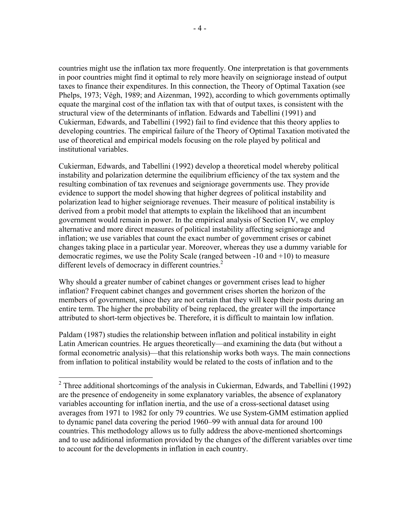countries might use the inflation tax more frequently. One interpretation is that governments in poor countries might find it optimal to rely more heavily on seigniorage instead of output taxes to finance their expenditures. In this connection, the Theory of Optimal Taxation (see Phelps, 1973; Végh, 1989; and Aizenman, 1992), according to which governments optimally equate the marginal cost of the inflation tax with that of output taxes, is consistent with the structural view of the determinants of inflation. Edwards and Tabellini (1991) and Cukierman, Edwards, and Tabellini (1992) fail to find evidence that this theory applies to developing countries. The empirical failure of the Theory of Optimal Taxation motivated the use of theoretical and empirical models focusing on the role played by political and institutional variables.

Cukierman, Edwards, and Tabellini (1992) develop a theoretical model whereby political instability and polarization determine the equilibrium efficiency of the tax system and the resulting combination of tax revenues and seigniorage governments use. They provide evidence to support the model showing that higher degrees of political instability and polarization lead to higher seigniorage revenues. Their measure of political instability is derived from a probit model that attempts to explain the likelihood that an incumbent government would remain in power. In the empirical analysis of Section IV, we employ alternative and more direct measures of political instability affecting seigniorage and inflation; we use variables that count the exact number of government crises or cabinet changes taking place in a particular year. Moreover, whereas they use a dummy variable for democratic regimes, we use the Polity Scale (ranged between -10 and +10) to measure different levels of democracy in different countries.<sup>2</sup>

Why should a greater number of cabinet changes or government crises lead to higher inflation? Frequent cabinet changes and government crises shorten the horizon of the members of government, since they are not certain that they will keep their posts during an entire term. The higher the probability of being replaced, the greater will the importance attributed to short-term objectives be. Therefore, it is difficult to maintain low inflation.

Paldam (1987) studies the relationship between inflation and political instability in eight Latin American countries. He argues theoretically—and examining the data (but without a formal econometric analysis)—that this relationship works both ways. The main connections from inflation to political instability would be related to the costs of inflation and to the

 $\overline{a}$ 

<sup>&</sup>lt;sup>2</sup> Three additional shortcomings of the analysis in Cukierman, Edwards, and Tabellini (1992) are the presence of endogeneity in some explanatory variables, the absence of explanatory variables accounting for inflation inertia, and the use of a cross-sectional dataset using averages from 1971 to 1982 for only 79 countries. We use System-GMM estimation applied to dynamic panel data covering the period 1960–99 with annual data for around 100 countries. This methodology allows us to fully address the above-mentioned shortcomings and to use additional information provided by the changes of the different variables over time to account for the developments in inflation in each country.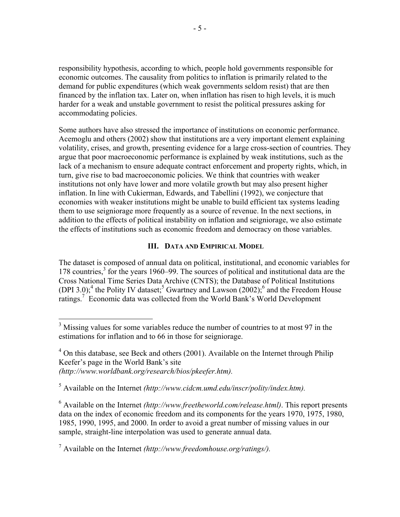responsibility hypothesis, according to which, people hold governments responsible for economic outcomes. The causality from politics to inflation is primarily related to the demand for public expenditures (which weak governments seldom resist) that are then financed by the inflation tax. Later on, when inflation has risen to high levels, it is much harder for a weak and unstable government to resist the political pressures asking for accommodating policies.

Some authors have also stressed the importance of institutions on economic performance. Acemoglu and others (2002) show that institutions are a very important element explaining volatility, crises, and growth, presenting evidence for a large cross-section of countries. They argue that poor macroeconomic performance is explained by weak institutions, such as the lack of a mechanism to ensure adequate contract enforcement and property rights, which, in turn, give rise to bad macroeconomic policies. We think that countries with weaker institutions not only have lower and more volatile growth but may also present higher inflation. In line with Cukierman, Edwards, and Tabellini (1992), we conjecture that economies with weaker institutions might be unable to build efficient tax systems leading them to use seigniorage more frequently as a source of revenue. In the next sections, in addition to the effects of political instability on inflation and seigniorage, we also estimate the effects of institutions such as economic freedom and democracy on those variables.

## **III. DATA AND EMPIRICAL MODEL**

The dataset is composed of annual data on political, institutional, and economic variables for 178 countries,<sup>3</sup> for the years 1960–99. The sources of political and institutional data are the Cross National Time Series Data Archive (CNTS); the Database of Political Institutions (DPI 3.0);<sup>4</sup> the Polity IV dataset;<sup>5</sup> Gwartney and Lawson (2002);<sup>6</sup> and the Freedom House ratings.<sup>7</sup> Economic data was collected from the World Bank's World Development

 $\overline{a}$ 

 $3$  Missing values for some variables reduce the number of countries to at most 97 in the estimations for inflation and to 66 in those for seigniorage.

 $4$  On this database, see Beck and others (2001). Available on the Internet through Philip Keefer's page in the World Bank's site *(<http://www.worldbank.org/research/bios/pkeefer.htm>).* 

<sup>5</sup> Available on the Internet *(<http://www.cidcm.umd.edu/inscr/polity/index.htm>).*

<sup>6</sup> Available on the Internet *([http://www.freetheworld.com/release.htm](http://www.freetheworld.com/release.html)l)*. This report presents data on the index of economic freedom and its components for the years 1970, 1975, 1980, 1985, 1990, 1995, and 2000. In order to avoid a great number of missing values in our sample, straight-line interpolation was used to generate annual data.

<sup>7</sup> Available on the Internet *([http://www.freedomhouse.org/ratings](http://www.freedomhouse.org/ratings/)/).*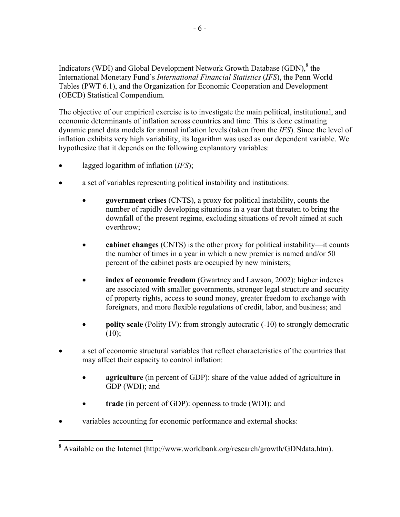Indicators (WDI) and Global Development Network Growth Database  $(GDN)$ ,  $8$  the International Monetary Fund's *International Financial Statistics* (*IFS*), the Penn World Tables (PWT 6.1), and the Organization for Economic Cooperation and Development (OECD) Statistical Compendium.

The objective of our empirical exercise is to investigate the main political, institutional, and economic determinants of inflation across countries and time. This is done estimating dynamic panel data models for annual inflation levels (taken from the *IFS*). Since the level of inflation exhibits very high variability, its logarithm was used as our dependent variable. We hypothesize that it depends on the following explanatory variables:

- lagged logarithm of inflation (*IFS*);
- a set of variables representing political instability and institutions:
	- **government crises** (CNTS), a proxy for political instability, counts the number of rapidly developing situations in a year that threaten to bring the downfall of the present regime, excluding situations of revolt aimed at such overthrow;
	- **cabinet changes** (CNTS) is the other proxy for political instability—it counts the number of times in a year in which a new premier is named and/or 50 percent of the cabinet posts are occupied by new ministers;
	- **index of economic freedom** (Gwartney and Lawson, 2002): higher indexes are associated with smaller governments, stronger legal structure and security of property rights, access to sound money, greater freedom to exchange with foreigners, and more flexible regulations of credit, labor, and business; and
	- **polity scale** (Polity IV): from strongly autocratic (-10) to strongly democratic  $(10);$
- a set of economic structural variables that reflect characteristics of the countries that may affect their capacity to control inflation:
	- **agriculture** (in percent of GDP): share of the value added of agriculture in GDP (WDI); and
	- **trade** (in percent of GDP): openness to trade (WDI); and
- variables accounting for economic performance and external shocks:

 $\overline{a}$ <sup>8</sup> Available on the Internet (<http://www.worldbank.org/research/growth/GDNdata.htm>).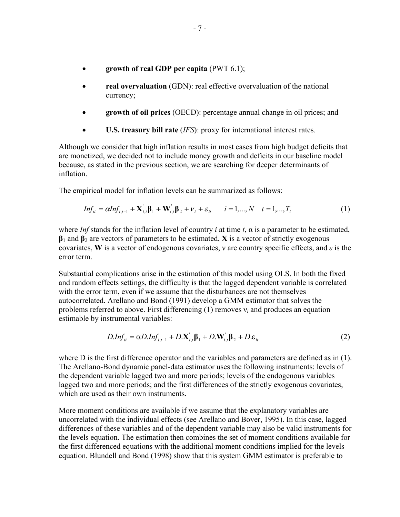- **growth of real GDP per capita** (PWT 6.1);
- **real overvaluation** (GDN): real effective overvaluation of the national currency;
- **growth of oil prices** (OECD): percentage annual change in oil prices; and
- **U.S. treasury bill rate** (*IFS*): proxy for international interest rates.

Although we consider that high inflation results in most cases from high budget deficits that are monetized, we decided not to include money growth and deficits in our baseline model because, as stated in the previous section, we are searching for deeper determinants of inflation.

The empirical model for inflation levels can be summarized as follows:

$$
Inf_{it} = \alpha Inf_{i,t-1} + \mathbf{X}_{i,t}' \mathbf{\beta}_1 + \mathbf{W}_{i,t}' \mathbf{\beta}_2 + \nu_i + \varepsilon_{it} \qquad i = 1,..., N \quad t = 1,..., T_i
$$
 (1)

where *Inf* stands for the inflation level of country *i* at time *t*,  $\alpha$  is a parameter to be estimated, **β**1 and **β**2 are vectors of parameters to be estimated, **X** is a vector of strictly exogenous covariates, **W** is a vector of endogenous covariates, ν are country specific effects, and *ε* is the error term.

Substantial complications arise in the estimation of this model using OLS. In both the fixed and random effects settings, the difficulty is that the lagged dependent variable is correlated with the error term, even if we assume that the disturbances are not themselves autocorrelated. Arellano and Bond (1991) develop a GMM estimator that solves the problems referred to above. First differencing (1) removes ν*i* and produces an equation estimable by instrumental variables:

$$
D. Inf_{it} = \alpha D. Inf_{i,t-1} + D. \mathbf{X}_{i,t}' \mathbf{\beta}_1 + D. \mathbf{W}_{i,t}' \mathbf{\beta}_2 + D. \varepsilon_{it}
$$
 (2)

where D is the first difference operator and the variables and parameters are defined as in (1). The Arellano-Bond dynamic panel-data estimator uses the following instruments: levels of the dependent variable lagged two and more periods; levels of the endogenous variables lagged two and more periods; and the first differences of the strictly exogenous covariates, which are used as their own instruments.

More moment conditions are available if we assume that the explanatory variables are uncorrelated with the individual effects (see Arellano and Bover, 1995). In this case, lagged differences of these variables and of the dependent variable may also be valid instruments for the levels equation. The estimation then combines the set of moment conditions available for the first differenced equations with the additional moment conditions implied for the levels equation. Blundell and Bond (1998) show that this system GMM estimator is preferable to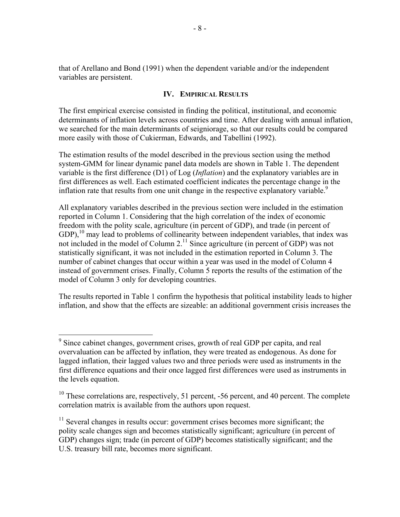that of Arellano and Bond (1991) when the dependent variable and/or the independent variables are persistent.

## **IV. EMPIRICAL RESULTS**

The first empirical exercise consisted in finding the political, institutional, and economic determinants of inflation levels across countries and time. After dealing with annual inflation, we searched for the main determinants of seigniorage, so that our results could be compared more easily with those of Cukierman, Edwards, and Tabellini (1992).

The estimation results of the model described in the previous section using the method system-GMM for linear dynamic panel data models are shown in Table 1. The dependent variable is the first difference (D1) of Log (*Inflation*) and the explanatory variables are in first differences as well. Each estimated coefficient indicates the percentage change in the inflation rate that results from one unit change in the respective explanatory variable.<sup>9</sup>

All explanatory variables described in the previous section were included in the estimation reported in Column 1. Considering that the high correlation of the index of economic freedom with the polity scale, agriculture (in percent of GDP), and trade (in percent of  $GDP$ ,<sup>10</sup> may lead to problems of collinearity between independent variables, that index was not included in the model of Column 2.<sup>11</sup> Since agriculture (in percent of GDP) was not statistically significant, it was not included in the estimation reported in Column 3. The number of cabinet changes that occur within a year was used in the model of Column 4 instead of government crises. Finally, Column 5 reports the results of the estimation of the model of Column 3 only for developing countries.

The results reported in Table 1 confirm the hypothesis that political instability leads to higher inflation, and show that the effects are sizeable: an additional government crisis increases the

<sup>&</sup>lt;sup>9</sup> Since cabinet changes, government crises, growth of real GDP per capita, and real overvaluation can be affected by inflation, they were treated as endogenous. As done for lagged inflation, their lagged values two and three periods were used as instruments in the first difference equations and their once lagged first differences were used as instruments in the levels equation.

 $10$  These correlations are, respectively, 51 percent, -56 percent, and 40 percent. The complete correlation matrix is available from the authors upon request.

<sup>&</sup>lt;sup>11</sup> Several changes in results occur: government crises becomes more significant; the polity scale changes sign and becomes statistically significant; agriculture (in percent of GDP) changes sign; trade (in percent of GDP) becomes statistically significant; and the U.S. treasury bill rate, becomes more significant.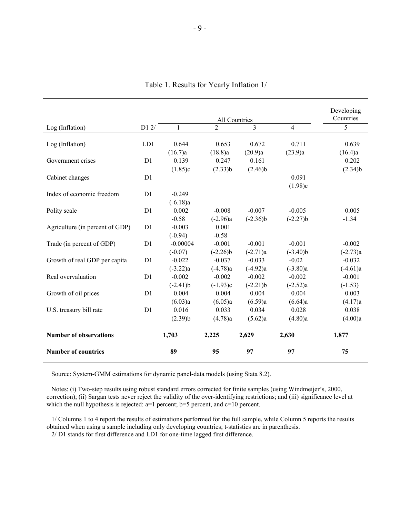|                                 |                |            | Developing     |            |            |            |
|---------------------------------|----------------|------------|----------------|------------|------------|------------|
|                                 |                |            | All Countries  |            |            | Countries  |
| Log (Inflation)                 | D1 2/          | 1          | $\overline{2}$ | 3          | 4          | 5          |
|                                 |                |            |                |            |            |            |
| Log (Inflation)                 | LD1            | 0.644      | 0.653          | 0.672      | 0.711      | 0.639      |
|                                 |                | (16.7)a    | (18.8)a        | (20.9)a    | (23.9)a    | (16.4)a    |
| Government crises               | D1             | 0.139      | 0.247          | 0.161      |            | 0.202      |
|                                 |                | (1.85)c    | (2.33)b        | $(2.46)$ b |            | $(2.34)$ b |
| Cabinet changes                 | D1             |            |                |            | 0.091      |            |
|                                 |                |            |                |            | (1.98)c    |            |
| Index of economic freedom       | D1             | $-0.249$   |                |            |            |            |
|                                 |                | $(-6.18)a$ |                |            |            |            |
| Polity scale                    | D1             | 0.002      | $-0.008$       | $-0.007$   | $-0.005$   | 0.005      |
|                                 |                | $-0.58$    | $(-2.96)a$     | $(-2.36)b$ | $(-2.27)b$ | $-1.34$    |
| Agriculture (in percent of GDP) | D <sub>1</sub> | $-0.003$   | 0.001          |            |            |            |
|                                 |                | $(-0.94)$  | $-0.58$        |            |            |            |
| Trade (in percent of GDP)       | D <sub>1</sub> | $-0.00004$ | $-0.001$       | $-0.001$   | $-0.001$   | $-0.002$   |
|                                 |                | $(-0.07)$  | $(-2.26)b$     | $(-2.71)a$ | $(-3.40)$  | $(-2.73)a$ |
| Growth of real GDP per capita   | D1             | $-0.022$   | $-0.037$       | $-0.033$   | $-0.02$    | $-0.032$   |
|                                 |                | $(-3.22)a$ | $(-4.78)a$     | $(-4.92)a$ | $(-3.80)a$ | $(-4.61)a$ |
| Real overvaluation              | D <sub>1</sub> | $-0.002$   | $-0.002$       | $-0.002$   | $-0.002$   | $-0.001$   |
|                                 |                | $(-2.41)$  | $(-1.93)c$     | $(-2.21)$  | $(-2.52)a$ | $(-1.53)$  |
| Growth of oil prices            | D1             | 0.004      | 0.004          | 0.004      | 0.004      | 0.003      |
|                                 |                | (6.03)a    | (6.05)a        | (6.59)a    | (6.64)a    | (4.17)a    |
| U.S. treasury bill rate         | D1             | 0.016      | 0.033          | 0.034      | 0.028      | 0.038      |
|                                 |                | $(2.39)$ b | (4.78)a        | (5.62)a    | (4.80)a    | (4.00)a    |
| <b>Number of observations</b>   |                | 1,703      | 2,225          | 2,629      | 2,630      | 1,877      |
| <b>Number of countries</b>      |                | 89         | 95             | 97         | 97         | 75         |

Table 1. Results for Yearly Inflation 1/

Source: System-GMM estimations for dynamic panel-data models (using Stata 8.2).

 Notes: (i) Two-step results using robust standard errors corrected for finite samples (using Windmeijer's, 2000, correction); (ii) Sargan tests never reject the validity of the over-identifying restrictions; and (iii) significance level at which the null hypothesis is rejected: a=1 percent; b=5 percent, and c=10 percent.

 1/ Columns 1 to 4 report the results of estimations performed for the full sample, while Column 5 reports the results obtained when using a sample including only developing countries; t-statistics are in parenthesis.

2/ D1 stands for first difference and LD1 for one-time lagged first difference.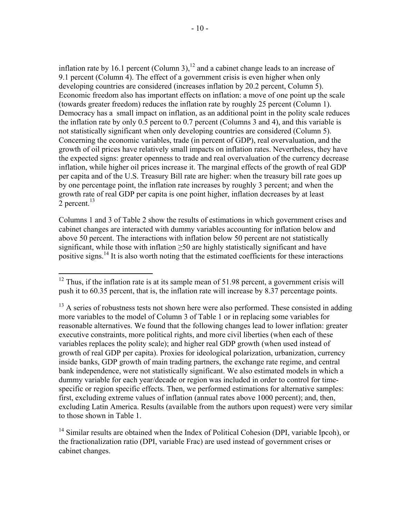inflation rate by 16.1 percent (Column 3),<sup>12</sup> and a cabinet change leads to an increase of 9.1 percent (Column 4). The effect of a government crisis is even higher when only developing countries are considered (increases inflation by 20.2 percent, Column 5). Economic freedom also has important effects on inflation: a move of one point up the scale (towards greater freedom) reduces the inflation rate by roughly 25 percent (Column 1). Democracy has a small impact on inflation, as an additional point in the polity scale reduces the inflation rate by only 0.5 percent to 0.7 percent (Columns 3 and 4), and this variable is not statistically significant when only developing countries are considered (Column 5). Concerning the economic variables, trade (in percent of GDP), real overvaluation, and the growth of oil prices have relatively small impacts on inflation rates. Nevertheless, they have the expected signs: greater openness to trade and real overvaluation of the currency decrease inflation, while higher oil prices increase it. The marginal effects of the growth of real GDP per capita and of the U.S. Treasury Bill rate are higher: when the treasury bill rate goes up by one percentage point, the inflation rate increases by roughly 3 percent; and when the growth rate of real GDP per capita is one point higher, inflation decreases by at least  $2$  percent.<sup>13</sup>

Columns 1 and 3 of Table 2 show the results of estimations in which government crises and cabinet changes are interacted with dummy variables accounting for inflation below and above 50 percent. The interactions with inflation below 50 percent are not statistically significant, while those with inflation  $\geq$ 50 are highly statistically significant and have positive signs.<sup>14</sup> It is also worth noting that the estimated coefficients for these interactions

 $\overline{a}$  $12$  Thus, if the inflation rate is at its sample mean of 51.98 percent, a government crisis will push it to 60.35 percent, that is, the inflation rate will increase by 8.37 percentage points.

 $13$  A series of robustness tests not shown here were also performed. These consisted in adding more variables to the model of Column 3 of Table 1 or in replacing some variables for reasonable alternatives. We found that the following changes lead to lower inflation: greater executive constraints, more political rights, and more civil liberties (when each of these variables replaces the polity scale); and higher real GDP growth (when used instead of growth of real GDP per capita). Proxies for ideological polarization, urbanization, currency inside banks, GDP growth of main trading partners, the exchange rate regime, and central bank independence, were not statistically significant. We also estimated models in which a dummy variable for each year/decade or region was included in order to control for timespecific or region specific effects. Then, we performed estimations for alternative samples: first, excluding extreme values of inflation (annual rates above 1000 percent); and, then, excluding Latin America. Results (available from the authors upon request) were very similar to those shown in Table 1.

 $14$  Similar results are obtained when the Index of Political Cohesion (DPI, variable Ipcoh), or the fractionalization ratio (DPI, variable Frac) are used instead of government crises or cabinet changes.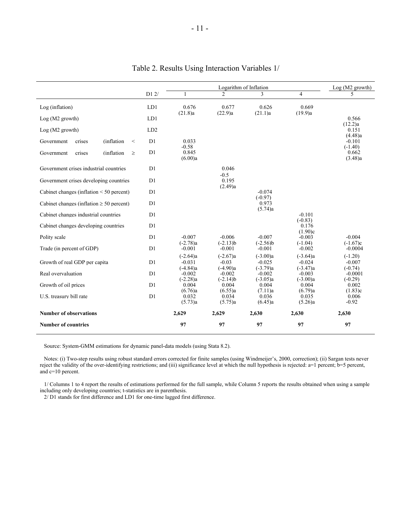|                                               |                 | Logarithm of Inflation               |                                      |                                      |                                      | $Log(M2$ growth)                    |
|-----------------------------------------------|-----------------|--------------------------------------|--------------------------------------|--------------------------------------|--------------------------------------|-------------------------------------|
|                                               | D12/            | 1                                    | $\mathfrak{D}$                       | 3                                    | $\overline{4}$                       | 5                                   |
| Log (inflation)                               | LD1             | 0.676<br>(21.8)a                     | 0.677<br>(22.9)a                     | 0.626<br>(21.1)a                     | 0.669<br>(19.9)a                     |                                     |
| Log (M2 growth)                               | LD1             |                                      |                                      |                                      |                                      | 0.566                               |
| $Log(M2$ growth)                              | LD <sub>2</sub> |                                      |                                      |                                      |                                      | (12.2)a<br>0.151<br>(4.48)a         |
| (inflation<br>Government<br>crises<br>$\,<$   | D1              | 0.033<br>$-0.58$                     |                                      |                                      |                                      | $-0.101$<br>$(-1.40)$               |
| (inflation<br>crises<br>Government<br>$\geq$  | D <sub>1</sub>  | 0.845<br>(6.00)a                     |                                      |                                      |                                      | 0.662<br>(3.48)a                    |
| Government crises industrial countries        | D1              |                                      | 0.046<br>$-0.5$                      |                                      |                                      |                                     |
| Government crises developing countries        | D1              |                                      | 0.195<br>(2.49)a                     |                                      |                                      |                                     |
| Cabinet changes (inflation $\leq 50$ percent) | D1              |                                      |                                      | $-0.074$<br>$(-0.97)$                |                                      |                                     |
| Cabinet changes (inflation $\geq 50$ percent) | D1              |                                      |                                      | 0.973<br>(5.74)a                     |                                      |                                     |
| Cabinet changes industrial countries          | D <sub>1</sub>  |                                      |                                      |                                      | $-0.101$                             |                                     |
| Cabinet changes developing countries          | D1              |                                      |                                      |                                      | $(-0.83)$<br>0.176<br>(1.90)c        |                                     |
| Polity scale                                  | D1              | $-0.007$                             | $-0.006$                             | $-0.007$                             | $-0.003$                             | $-0.004$                            |
| Trade (in percent of GDP)                     | D1              | $(-2.78)a$<br>$-0.001$               | $(-2.13)b$<br>$-0.001$               | $(-2.56)b$<br>$-0.001$               | $(-1.04)$<br>$-0.002$                | $(-1.67)c$<br>$-0.0004$             |
| Growth of real GDP per capita                 | D1              | $(-2.64)a$<br>$-0.031$               | $(-2.67)a$<br>$-0.03$                | $(-3.00)a$<br>$-0.025$               | $(-3.64)a$<br>$-0.024$               | $(-1.20)$<br>$-0.007$               |
| Real overvaluation                            | D1              | $(-4.84)a$<br>$-0.002$<br>$(-2.28)a$ | $(-4.90)a$<br>$-0.002$<br>$(-2.14)b$ | $(-3.79)a$<br>$-0.002$<br>$(-3.05)a$ | $(-3.47)a$<br>$-0.003$<br>$(-3.00)a$ | $(-0.74)$<br>$-0.0001$<br>$(-0.29)$ |
| Growth of oil prices                          | D <sub>1</sub>  | 0.004                                | 0.004                                | 0.004                                | 0.004                                | 0.002                               |
| U.S. treasury bill rate                       | D <sub>1</sub>  | (6.76)a<br>0.032<br>(5.73)a          | (6.55)a<br>0.034<br>(5.75)a          | (7.11)a<br>0.036<br>(6.45)a          | (6.79)a<br>0.035<br>(5.26)a          | (1.83)c<br>0.006<br>$-0.92$         |
| <b>Number of observations</b>                 |                 | 2,629                                | 2,629                                | 2.630                                | 2.630                                | 2,630                               |
| <b>Number of countries</b>                    |                 | 97                                   | 97                                   | 97                                   | 97                                   | 97                                  |

## Table 2. Results Using Interaction Variables 1/

Source: System-GMM estimations for dynamic panel-data models (using Stata 8.2).

 Notes: (i) Two-step results using robust standard errors corrected for finite samples (using Windmeijer's, 2000, correction); (ii) Sargan tests never reject the validity of the over-identifying restrictions; and (iii) significance level at which the null hypothesis is rejected: a=1 percent; b=5 percent, and c=10 percent.

 1/ Columns 1 to 4 report the results of estimations performed for the full sample, while Column 5 reports the results obtained when using a sample including only developing countries; t-statistics are in parenthesis.

2/ D1 stands for first difference and LD1 for one-time lagged first difference.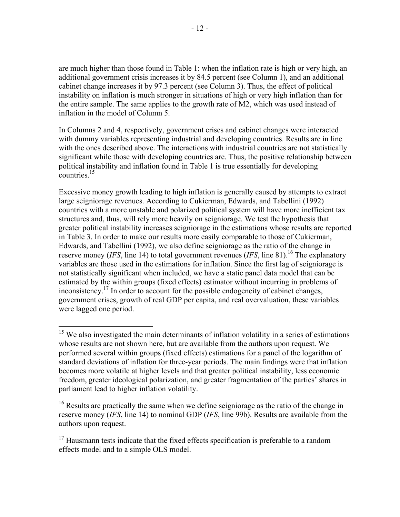are much higher than those found in Table 1: when the inflation rate is high or very high, an additional government crisis increases it by 84.5 percent (see Column 1), and an additional cabinet change increases it by 97.3 percent (see Column 3). Thus, the effect of political instability on inflation is much stronger in situations of high or very high inflation than for the entire sample. The same applies to the growth rate of M2, which was used instead of inflation in the model of Column 5.

In Columns 2 and 4, respectively, government crises and cabinet changes were interacted with dummy variables representing industrial and developing countries. Results are in line with the ones described above. The interactions with industrial countries are not statistically significant while those with developing countries are. Thus, the positive relationship between political instability and inflation found in Table 1 is true essentially for developing  $\frac{1}{2}$  countries.<sup>15</sup>

Excessive money growth leading to high inflation is generally caused by attempts to extract large seigniorage revenues. According to Cukierman, Edwards, and Tabellini (1992) countries with a more unstable and polarized political system will have more inefficient tax structures and, thus, will rely more heavily on seigniorage. We test the hypothesis that greater political instability increases seigniorage in the estimations whose results are reported in Table 3. In order to make our results more easily comparable to those of Cukierman, Edwards, and Tabellini (1992), we also define seigniorage as the ratio of the change in reserve money (*IFS*, line 14) to total government revenues (*IFS*, line 81).<sup>16</sup> The explanatory variables are those used in the estimations for inflation. Since the first lag of seigniorage is not statistically significant when included, we have a static panel data model that can be estimated by the within groups (fixed effects) estimator without incurring in problems of inconsistency.<sup>17</sup> In order to account for the possible endogeneity of cabinet changes, government crises, growth of real GDP per capita, and real overvaluation, these variables were lagged one period.

1

<sup>&</sup>lt;sup>15</sup> We also investigated the main determinants of inflation volatility in a series of estimations whose results are not shown here, but are available from the authors upon request. We performed several within groups (fixed effects) estimations for a panel of the logarithm of standard deviations of inflation for three-year periods. The main findings were that inflation becomes more volatile at higher levels and that greater political instability, less economic freedom, greater ideological polarization, and greater fragmentation of the parties' shares in parliament lead to higher inflation volatility.

<sup>&</sup>lt;sup>16</sup> Results are practically the same when we define seigniorage as the ratio of the change in reserve money (*IFS*, line 14) to nominal GDP (*IFS*, line 99b). Results are available from the authors upon request.

 $17$  Hausmann tests indicate that the fixed effects specification is preferable to a random effects model and to a simple OLS model.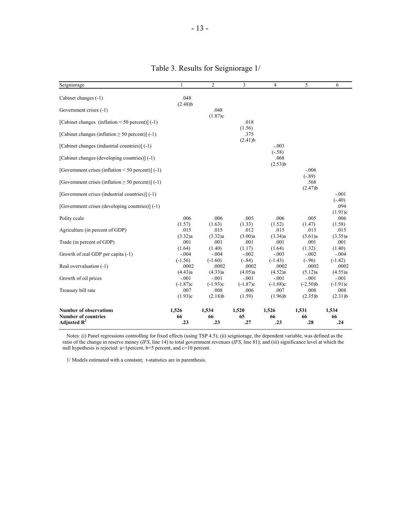| Seigniorage                                            |                               | $\overline{c}$                   | 3                            | $\overline{4}$                   | 5                                 | 6                                |
|--------------------------------------------------------|-------------------------------|----------------------------------|------------------------------|----------------------------------|-----------------------------------|----------------------------------|
| Cabinet changes (-1)                                   | .048                          |                                  |                              |                                  |                                   |                                  |
|                                                        | $(2.48)$ b                    |                                  |                              |                                  |                                   |                                  |
| Government crises (-1)                                 |                               | .048                             |                              |                                  |                                   |                                  |
| [Cabinet changes (inflation $\leq$ 50 percent)] (-1)   |                               | (1.87)c                          | .018                         |                                  |                                   |                                  |
| [Cabinet changes (inflation $\geq 50$ percent)] (-1)   |                               |                                  | (1.56)<br>.375<br>$(2.41)$ b |                                  |                                   |                                  |
| [Cabinet changes (industrial countries)] (-1)          |                               |                                  |                              | $-.003$                          |                                   |                                  |
| [Cabinet changes (developing countries)] (-1)          |                               |                                  |                              | $(-.58)$<br>.068<br>$(2.53)$ b   |                                   |                                  |
| [Government crises (inflation $\leq 50$ percent)] (-1) |                               |                                  |                              |                                  | $-.006$                           |                                  |
| [Government crises (inflation $\geq 50$ percent)] (-1) |                               |                                  |                              |                                  | $(-.89)$<br>.568<br>$(2.47)$ b    |                                  |
| [Government crises (industrial countries)] (-1)        |                               |                                  |                              |                                  |                                   | $-.001$                          |
| [Government crises (developing countries)] (-1)        |                               |                                  |                              |                                  |                                   | $(-.40)$<br>.094                 |
| Polity ccale                                           | .006                          | .006                             | .005                         | .006                             | .005                              | (1.91)c<br>.006                  |
| Agriculture (in percent of GDP)                        | (1.57)<br>.015                | (1.63)<br>.015                   | (1.33)<br>.012               | (1.52)<br>.015                   | (1.47)<br>.013                    | (1.58)<br>.015                   |
| Trade (in percent of GDP)                              | (3.32)a<br>.001               | (3.32)a<br>.001                  | (3.00)a<br>.001              | (3.34)a<br>.001                  | (3.61)a<br>.001                   | (3.35)a<br>.001                  |
| Growth of real GDP per capita (-1)                     | (1.64)<br>$-.004$             | (1.40)<br>$-.004$                | (1.17)<br>$-.002$            | (1.64)<br>$-.003$                | (1.32)<br>$-.002$                 | (1.40)<br>$-.004$                |
| Real overvaluation (-1)                                | $(-1.56)$<br>.0002            | $(-1.60)$<br>.0002               | $(-.84)$<br>.0002            | $(-1.43)$<br>.0002               | $(-.96)$<br>.0002                 | $(-1.42)$<br>.0002               |
| Growth of oil prices                                   | (4.43)a<br>$-.001$            | (4.33)a<br>$-.001$               | (4.05)a<br>$-.001$           | (4.52)a<br>$-.001$               | (5.12)a<br>$-.001$                | (4.55)a<br>$-.001$               |
| Treasury bill rate                                     | $(-1.87)c$<br>.007<br>(1.93)c | $(-1.93)c$<br>.008<br>$(2.18)$ b | $(-1.87)c$<br>.006<br>(1.59) | $(-1.88)c$<br>.007<br>$(1.96)$ b | $(-2.50)$ b<br>.008<br>$(2.35)$ b | $(-1.91)c$<br>.008<br>$(2.31)$ b |
| <b>Number of observations</b>                          | 1,526                         | 1,534                            | 1,520                        | 1,526                            | 1,531                             | 1,534                            |
| <b>Number of countries</b><br>Adjusted $R^2$           | 66                            | 66                               | 65<br>.27                    | 66                               | 66                                | 66<br>.24                        |
|                                                        | .23                           | .23                              |                              | .23                              | .28                               |                                  |

# Table 3. Results for Seigniorage 1/

 Notes: (i) Panel regressions controlling for fixed effects (using TSP 4.5); (ii) seigniorage, the dependent variable, was defined as the ratio of the change in reserve money (*IFS*, line 14) to total government revenues (*IFS*, line 81); and (iii) significance level at which the null hypothesis is rejected: a=1percent, b=5 percent, and c=10 percent.

1/ Models estimated with a constant; t-statistics are in parenthesis.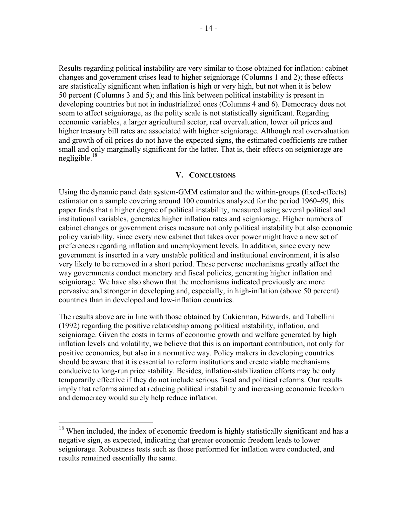Results regarding political instability are very similar to those obtained for inflation: cabinet changes and government crises lead to higher seigniorage (Columns 1 and 2); these effects are statistically significant when inflation is high or very high, but not when it is below 50 percent (Columns 3 and 5); and this link between political instability is present in developing countries but not in industrialized ones (Columns 4 and 6). Democracy does not seem to affect seigniorage, as the polity scale is not statistically significant. Regarding economic variables, a larger agricultural sector, real overvaluation, lower oil prices and higher treasury bill rates are associated with higher seigniorage. Although real overvaluation and growth of oil prices do not have the expected signs, the estimated coefficients are rather small and only marginally significant for the latter. That is, their effects on seigniorage are negligible. $18$ 

#### **V. CONCLUSIONS**

Using the dynamic panel data system-GMM estimator and the within-groups (fixed-effects) estimator on a sample covering around 100 countries analyzed for the period 1960–99, this paper finds that a higher degree of political instability, measured using several political and institutional variables, generates higher inflation rates and seigniorage. Higher numbers of cabinet changes or government crises measure not only political instability but also economic policy variability, since every new cabinet that takes over power might have a new set of preferences regarding inflation and unemployment levels. In addition, since every new government is inserted in a very unstable political and institutional environment, it is also very likely to be removed in a short period. These perverse mechanisms greatly affect the way governments conduct monetary and fiscal policies, generating higher inflation and seigniorage. We have also shown that the mechanisms indicated previously are more pervasive and stronger in developing and, especially, in high-inflation (above 50 percent) countries than in developed and low-inflation countries.

The results above are in line with those obtained by Cukierman, Edwards, and Tabellini (1992) regarding the positive relationship among political instability, inflation, and seigniorage. Given the costs in terms of economic growth and welfare generated by high inflation levels and volatility, we believe that this is an important contribution, not only for positive economics, but also in a normative way. Policy makers in developing countries should be aware that it is essential to reform institutions and create viable mechanisms conducive to long-run price stability. Besides, inflation-stabilization efforts may be only temporarily effective if they do not include serious fiscal and political reforms. Our results imply that reforms aimed at reducing political instability and increasing economic freedom and democracy would surely help reduce inflation.

 $\overline{a}$ 

 $18$  When included, the index of economic freedom is highly statistically significant and has a negative sign, as expected, indicating that greater economic freedom leads to lower seigniorage. Robustness tests such as those performed for inflation were conducted, and results remained essentially the same.